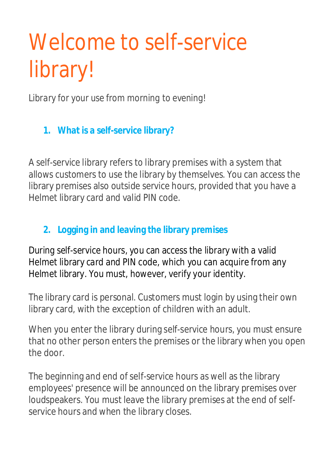## Welcome to self-service library!

*Library for your use from morning to evening!*

**1. What is a self-service library?**

A self-service library refers to library premises with a system that allows customers to use the library by themselves. You can access the library premises also outside service hours, provided that you have a Helmet library card and valid PIN code.

## **2. Logging in and leaving the library premises**

During self-service hours, you can access the library with a valid Helmet library card and PIN code, which you can acquire from any Helmet library. You must, however, verify your identity.

The library card is personal. Customers must login by using their own library card, with the exception of children with an adult.

When you enter the library during self-service hours, you must ensure that no other person enters the premises or the library when you open the door.

The beginning and end of self-service hours as well as the library employees' presence will be announced on the library premises over loudspeakers. You must leave the library premises at the end of selfservice hours and when the library closes.